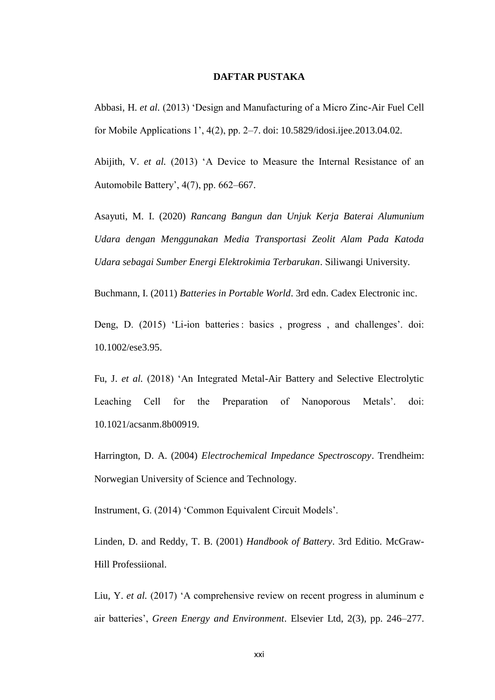## **DAFTAR PUSTAKA**

Abbasi, H. *et al.* (2013) 'Design and Manufacturing of a Micro Zinc-Air Fuel Cell for Mobile Applications 1', 4(2), pp. 2–7. doi: 10.5829/idosi.ijee.2013.04.02.

Abijith, V. *et al.* (2013) 'A Device to Measure the Internal Resistance of an Automobile Battery', 4(7), pp. 662–667.

Asayuti, M. I. (2020) *Rancang Bangun dan Unjuk Kerja Baterai Alumunium Udara dengan Menggunakan Media Transportasi Zeolit Alam Pada Katoda Udara sebagai Sumber Energi Elektrokimia Terbarukan*. Siliwangi University.

Buchmann, I. (2011) *Batteries in Portable World*. 3rd edn. Cadex Electronic inc.

Deng, D. (2015) 'Li-ion batteries : basics, progress, and challenges'. doi: 10.1002/ese3.95.

Fu, J. *et al.* (2018) 'An Integrated Metal-Air Battery and Selective Electrolytic Leaching Cell for the Preparation of Nanoporous Metals'. doi: 10.1021/acsanm.8b00919.

Harrington, D. A. (2004) *Electrochemical Impedance Spectroscopy*. Trendheim: Norwegian University of Science and Technology.

Instrument, G. (2014) 'Common Equivalent Circuit Models'.

Linden, D. and Reddy, T. B. (2001) *Handbook of Battery*. 3rd Editio. McGraw-Hill Professiional.

Liu, Y. *et al.* (2017) 'A comprehensive review on recent progress in aluminum e air batteries', *Green Energy and Environment*. Elsevier Ltd, 2(3), pp. 246–277.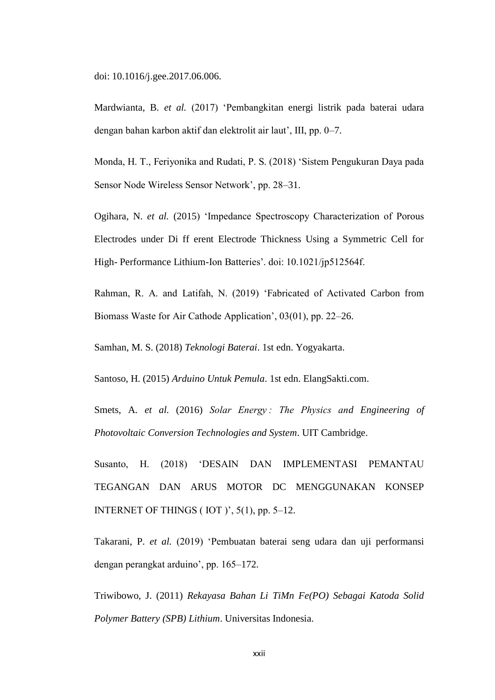doi: 10.1016/j.gee.2017.06.006.

Mardwianta, B. *et al.* (2017) 'Pembangkitan energi listrik pada baterai udara dengan bahan karbon aktif dan elektrolit air laut', III, pp. 0–7.

Monda, H. T., Feriyonika and Rudati, P. S. (2018) 'Sistem Pengukuran Daya pada Sensor Node Wireless Sensor Network', pp. 28–31.

Ogihara, N. *et al.* (2015) 'Impedance Spectroscopy Characterization of Porous Electrodes under Di ff erent Electrode Thickness Using a Symmetric Cell for High- Performance Lithium-Ion Batteries'. doi: 10.1021/jp512564f.

Rahman, R. A. and Latifah, N. (2019) 'Fabricated of Activated Carbon from Biomass Waste for Air Cathode Application', 03(01), pp. 22–26.

Samhan, M. S. (2018) *Teknologi Baterai*. 1st edn. Yogyakarta.

Santoso, H. (2015) *Arduino Untuk Pemula*. 1st edn. ElangSakti.com.

Smets, A. *et al.* (2016) *Solar Energy : The Physics and Engineering of Photovoltaic Conversion Technologies and System*. UIT Cambridge.

Susanto, H. (2018) 'DESAIN DAN IMPLEMENTASI PEMANTAU TEGANGAN DAN ARUS MOTOR DC MENGGUNAKAN KONSEP INTERNET OF THINGS ( IOT )', 5(1), pp. 5–12.

Takarani, P. *et al.* (2019) 'Pembuatan baterai seng udara dan uji performansi dengan perangkat arduino', pp. 165–172.

Triwibowo, J. (2011) *Rekayasa Bahan Li TiMn Fe(PO) Sebagai Katoda Solid Polymer Battery (SPB) Lithium*. Universitas Indonesia.